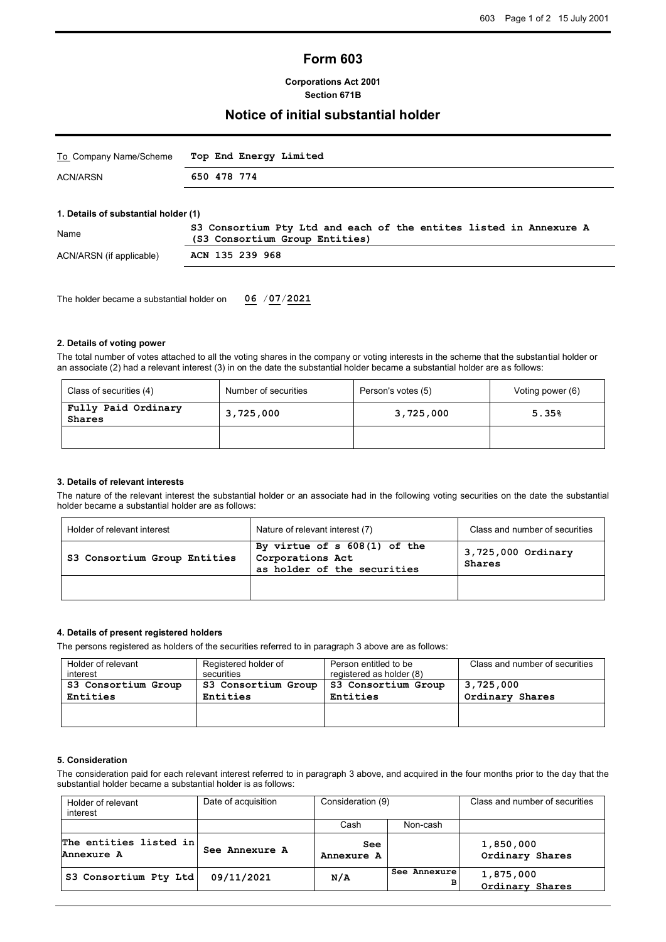# **Form 603**

**Corporations Act 2001 Section 671B**

## **Notice of initial substantial holder**

| To Company Name/Scheme | Top End Energy Limited |
|------------------------|------------------------|
| <b>ACN/ARSN</b>        | 650 478 774            |

#### **1. Details of substantial holder (1)**

| Name                     | S3 Consortium Pty Ltd and each of the entites listed in Annexure A<br>(S3 Consortium Group Entities) |
|--------------------------|------------------------------------------------------------------------------------------------------|
| ACN/ARSN (if applicable) | ACN 135 239 968                                                                                      |

The holder became a substantial holder on  $\frac{06}{207}/\frac{2021}{200}$ 

### **2. Details of voting power**

The total number of votes attached to all the voting shares in the company or voting interests in the scheme that the substantial holder or an associate (2) had a relevant interest (3) in on the date the substantial holder became a substantial holder are as follows:

| Class of securities (4)       | Number of securities | Person's votes (5) | Voting power (6) |
|-------------------------------|----------------------|--------------------|------------------|
| Fully Paid Ordinary<br>Shares | 3,725,000            | 3,725,000          | 5.35%            |
|                               |                      |                    |                  |

#### **3. Details of relevant interests**

The nature of the relevant interest the substantial holder or an associate had in the following voting securities on the date the substantial holder became a substantial holder are as follows:

| Holder of relevant interest  | Nature of relevant interest (7)                                                   | Class and number of securities |  |
|------------------------------|-----------------------------------------------------------------------------------|--------------------------------|--|
| S3 Consortium Group Entities | By virtue of $s$ 608(1) of the<br>Corporations Act<br>as holder of the securities | 3,725,000 Ordinary<br>Shares   |  |
|                              |                                                                                   |                                |  |

#### **4. Details of present registered holders**

The persons registered as holders of the securities referred to in paragraph 3 above are as follows:

| Holder of relevant  | Registered holder of | Person entitled to be    | Class and number of securities |
|---------------------|----------------------|--------------------------|--------------------------------|
| interest            | securities           | registered as holder (8) |                                |
| S3 Consortium Group | S3 Consortium Group  | S3 Consortium Group      | 3,725,000                      |
| Entities            | Entities             | Entities                 | Ordinary Shares                |
|                     |                      |                          |                                |
|                     |                      |                          |                                |

#### **5. Consideration**

The consideration paid for each relevant interest referred to in paragraph 3 above, and acquired in the four months prior to the day that the substantial holder became a substantial holder is as follows:

| Holder of relevant<br>interest       | Date of acquisition | Consideration (9) |                   | Class and number of securities |
|--------------------------------------|---------------------|-------------------|-------------------|--------------------------------|
|                                      |                     | Cash              | Non-cash          |                                |
| The entities listed in<br>Annexure A | See Annexure A      | See<br>Annexure A |                   | 1,850,000<br>Ordinary Shares   |
| S3 Consortium Pty Ltd                | 09/11/2021          | N/A               | See Annexure<br>в | 1,875,000<br>Ordinary Shares   |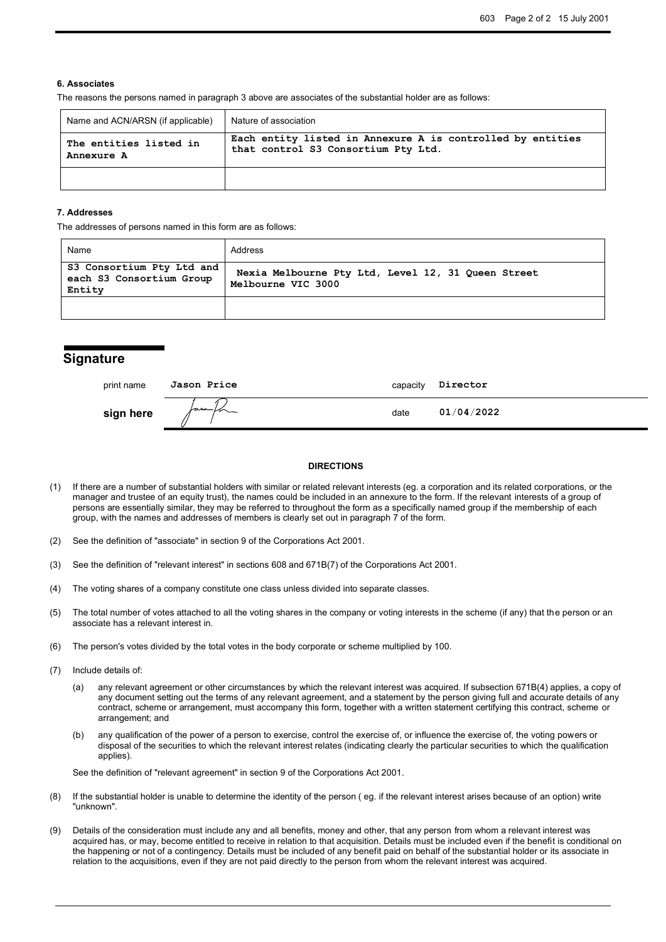#### **6. Associates**

The reasons the persons named in paragraph 3 above are associates of the substantial holder are as follows:

| Name and ACN/ARSN (if applicable)    | Nature of association                                                                             |
|--------------------------------------|---------------------------------------------------------------------------------------------------|
| The entities listed in<br>Annexure A | Each entity listed in Annexure A is controlled by entities<br>that control S3 Consortium Pty Ltd. |
|                                      |                                                                                                   |

#### **7. Addresses**

The addresses of persons named in this form are as follows:

| Name                                                            | Address                                                                  |
|-----------------------------------------------------------------|--------------------------------------------------------------------------|
| S3 Consortium Pty Ltd and<br>each S3 Consortium Group<br>Entity | Nexia Melbourne Pty Ltd, Level 12, 31 Queen Street<br>Melbourne VIC 3000 |
|                                                                 |                                                                          |

## **Signature**

| print name | Jason Price  | capacity | Director   |
|------------|--------------|----------|------------|
| sign here  | $loss - 1/2$ | date     | 01/04/2022 |

#### **DIRECTIONS**

- (1) If there are a number of substantial holders with similar or related relevant interests (eg. a corporation and its related corporations, or the manager and trustee of an equity trust), the names could be included in an annexure to the form. If the relevant interests of a group of persons are essentially similar, they may be referred to throughout the form as a specifically named group if the membership of each group, with the names and addresses of members is clearly set out in paragraph 7 of the form.
- (2) See the definition of "associate" in section 9 of the Corporations Act 2001.
- (3) See the definition of "relevant interest" in sections 608 and 671B(7) of the Corporations Act 2001.
- (4) The voting shares of a company constitute one class unless divided into separate classes.
- (5) The total number of votes attached to all the voting shares in the company or voting interests in the scheme (if any) that the person or an associate has a relevant interest in.
- (6) The person's votes divided by the total votes in the body corporate or scheme multiplied by 100.
- (7) Include details of:
	- (a) any relevant agreement or other circumstances by which the relevant interest was acquired. If subsection 671B(4) applies, a copy of any document setting out the terms of any relevant agreement, and a statement by the person giving full and accurate details of any contract, scheme or arrangement, must accompany this form, together with a written statement certifying this contract, scheme or arrangement; and
	- (b) any qualification of the power of a person to exercise, control the exercise of, or influence the exercise of, the voting powers or disposal of the securities to which the relevant interest relates (indicating clearly the particular securities to which the qualification applies).

See the definition of "relevant agreement" in section 9 of the Corporations Act 2001.

- (8) If the substantial holder is unable to determine the identity of the person ( eg. if the relevant interest arises because of an option) write "unknown".
- (9) Details of the consideration must include any and all benefits, money and other, that any person from whom a relevant interest was acquired has, or may, become entitled to receive in relation to that acquisition. Details must be included even if the benefit is conditional on the happening or not of a contingency. Details must be included of any benefit paid on behalf of the substantial holder or its associate in relation to the acquisitions, even if they are not paid directly to the person from whom the relevant interest was acquired.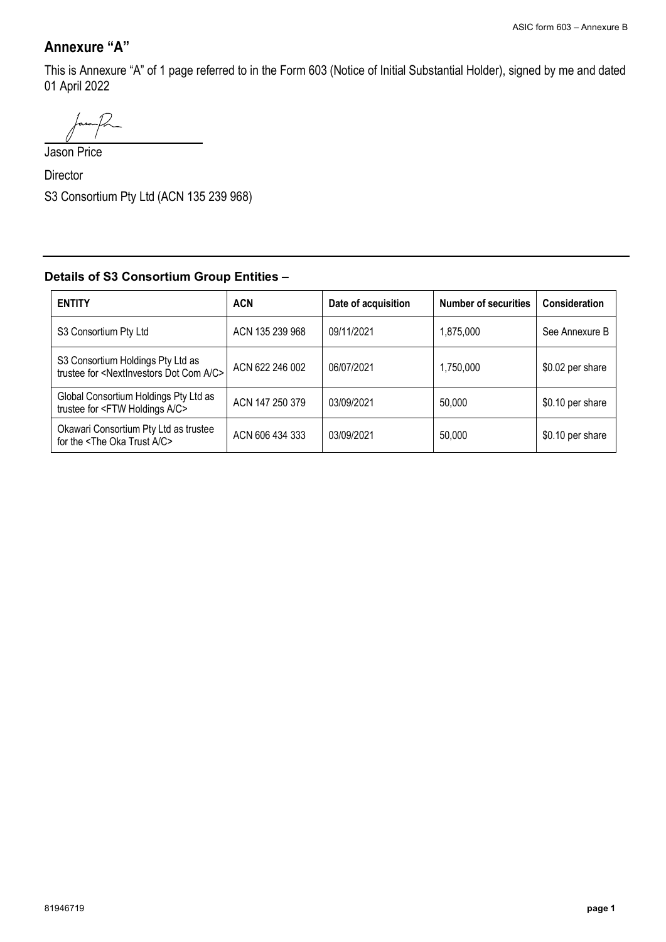# **Annexure** "A"

This is Annexure "A" of 1 page referred to in the Form 603 (Notice of Initial Substantial Holder), signed by me and dated 01 April 2022

Jason Price

**Director** 

S3 Consortium Pty Ltd (ACN 135 239 968)

# **Details of S3 Consortium Group Entities ±**

| <b>ENTITY</b>                                                                                            | <b>ACN</b>      | Date of acquisition | <b>Number of securities</b> | Consideration    |
|----------------------------------------------------------------------------------------------------------|-----------------|---------------------|-----------------------------|------------------|
| S3 Consortium Pty Ltd                                                                                    | ACN 135 239 968 | 09/11/2021          | 1,875,000                   | See Annexure B   |
| S3 Consortium Holdings Pty Ltd as<br>trustee for <nextinvestors a="" c="" com="" dot=""></nextinvestors> | ACN 622 246 002 | 06/07/2021          | 1,750,000                   | \$0.02 per share |
| Global Consortium Holdings Pty Ltd as<br>trustee for <ftw a="" c="" holdings=""></ftw>                   | ACN 147 250 379 | 03/09/2021          | 50,000                      | \$0.10 per share |
| Okawari Consortium Pty Ltd as trustee<br>for the <the a="" c="" oka="" trust=""></the>                   | ACN 606 434 333 | 03/09/2021          | 50,000                      | \$0.10 per share |